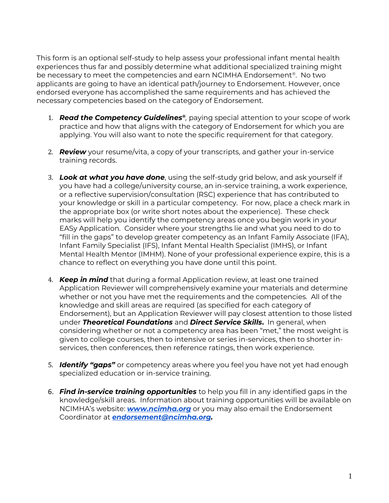This form is an optional self-study to help assess your professional infant mental health experiences thus far and possibly determine what additional specialized training might be necessary to meet the competencies and earn NCIMHA Endorsement® . No two applicants are going to have an identical path/journey to Endorsement. However, once endorsed everyone has accomplished the same requirements and has achieved the necessary competencies based on the category of Endorsement.

- 1. **Read the Competency Guidelines**®, paying special attention to your scope of work practice and how that aligns with the category of Endorsement for which you are applying. You will also want to note the specific requirement for that category.
- 2. *Review* your resume/vita, a copy of your transcripts, and gather your in-service training records.
- 3. *Look at what you have done*, using the self-study grid below, and ask yourself if you have had a college/university course, an in-service training, a work experience, or a reflective supervision/consultation (RSC) experience that has contributed to your knowledge or skill in a particular competency. For now, place a check mark in the appropriate box (or write short notes about the experience). These check marks will help you identify the competency areas once you begin work in your EASy Application. Consider where your strengths lie and what you need to do to "fill in the gaps" to develop greater competency as an Infant Family Associate (IFA), Infant Family Specialist (IFS), Infant Mental Health Specialist (IMHS), or Infant Mental Health Mentor (IMHM). None of your professional experience expire, this is a chance to reflect on everything you have done until this point.
- 4. *Keep in mind* that during a formal Application review, at least one trained Application Reviewer will comprehensively examine your materials and determine whether or not you have met the requirements and the competencies. All of the knowledge and skill areas are required (as specified for each category of Endorsement), but an Application Reviewer will pay closest attention to those listed under *Theoretical Foundations* and *Direct Service Skills***.** In general, when considering whether or not a competency area has been "met," the most weight is given to college courses, then to intensive or series in-services, then to shorter inservices, then conferences, then reference ratings, then work experience.
- 5. *Identify "gaps"* or competency areas where you feel you have not yet had enough specialized education or in-service training.
- 6. *Find in-service training opportunities* to help you fill in any identified gaps in the knowledge/skill areas. Information about training opportunities will be available on NCIMHA's website: *[www.ncimha.org](http://www.ncimha.org/)* or you may also email the Endorsement Coordinator at *[endorsement@ncimha.org.](mailto:endorsement@ncimha.org)*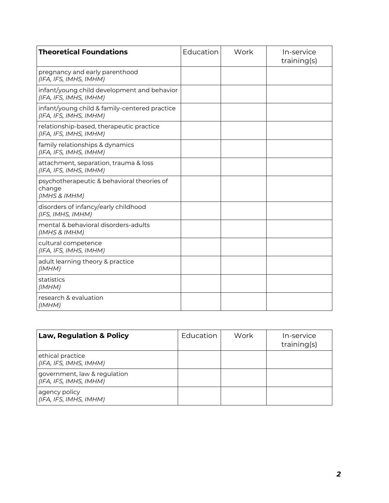| <b>Theoretical Foundations</b>                                          | Education | Work | In-service<br>training(s) |
|-------------------------------------------------------------------------|-----------|------|---------------------------|
| pregnancy and early parenthood<br>(IFA, IFS, IMHS, IMHM)                |           |      |                           |
| infant/young child development and behavior<br>(IFA, IFS, IMHS, IMHM)   |           |      |                           |
| infant/young child & family-centered practice<br>(IFA, IFS, IMHS, IMHM) |           |      |                           |
| relationship-based, therapeutic practice<br>(IFA, IFS, IMHS, IMHM)      |           |      |                           |
| family relationships & dynamics<br>(IFA, IFS, IMHS, IMHM)               |           |      |                           |
| attachment, separation, trauma & loss<br>(IFA, IFS, IMHS, IMHM)         |           |      |                           |
| psychotherapeutic & behavioral theories of<br>change<br>(IMHS & IMHM)   |           |      |                           |
| disorders of infancy/early childhood<br>(IFS, IMHS, IMHM)               |           |      |                           |
| mental & behavioral disorders-adults<br>(IMHS & IMHM)                   |           |      |                           |
| cultural competence<br>(IFA, IFS, IMHS, IMHM)                           |           |      |                           |
| adult learning theory & practice<br>(IMHM)                              |           |      |                           |
| statistics<br>(IMHM)                                                    |           |      |                           |
| research & evaluation<br>(IMHM)                                         |           |      |                           |

| <b>Law, Regulation &amp; Policy</b>                    | Education | Work | In-service<br>training(s) |
|--------------------------------------------------------|-----------|------|---------------------------|
| ethical practice<br>(IFA, IFS, IMHS, IMHM)             |           |      |                           |
| government, law & regulation<br>(IFA, IFS, IMHS, IMHM) |           |      |                           |
| agency policy<br>(IFA, IFS, IMHS, IMHM)                |           |      |                           |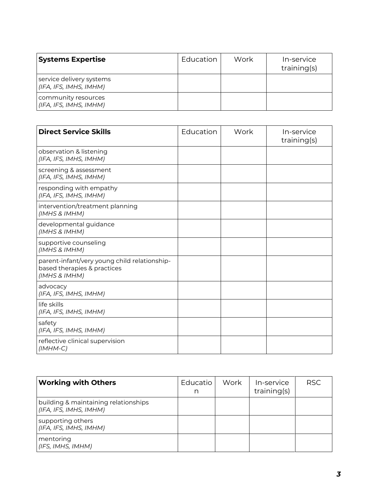| <b>Systems Expertise</b>                           | Education | Work | In-service<br>training(s) |
|----------------------------------------------------|-----------|------|---------------------------|
| service delivery systems<br>(IFA, IFS, IMHS, IMHM) |           |      |                           |
| community resources<br>(IFA, IFS, IMHS, IMHM)      |           |      |                           |

| <b>Direct Service Skills</b>                                                                 | Education | Work | In-service<br>training(s) |
|----------------------------------------------------------------------------------------------|-----------|------|---------------------------|
| observation & listening<br>(IFA, IFS, IMHS, IMHM)                                            |           |      |                           |
| screening & assessment<br>(IFA, IFS, IMHS, IMHM)                                             |           |      |                           |
| responding with empathy<br>(IFA, IFS, IMHS, IMHM)                                            |           |      |                           |
| intervention/treatment planning<br>(IMHS & IMHM)                                             |           |      |                           |
| developmental guidance<br>(IMHS & IMHM)                                                      |           |      |                           |
| supportive counseling<br>(IMHS & IMHM)                                                       |           |      |                           |
| parent-infant/very young child relationship-<br>based therapies & practices<br>(IMHS & IMHM) |           |      |                           |
| advocacy<br>(IFA, IFS, IMHS, IMHM)                                                           |           |      |                           |
| life skills<br>(IFA, IFS, IMHS, IMHM)                                                        |           |      |                           |
| safety<br>(IFA, IFS, IMHS, IMHM)                                                             |           |      |                           |
| reflective clinical supervision<br>$(IMHM-C)$                                                |           |      |                           |

| <b>Working with Others</b>                                     | Educatio<br>n | Work | In-service<br>training(s) | <b>RSC</b> |
|----------------------------------------------------------------|---------------|------|---------------------------|------------|
| building & maintaining relationships<br>(IFA, IFS, IMHS, IMHM) |               |      |                           |            |
| supporting others<br>(IFA, IFS, IMHS, IMHM)                    |               |      |                           |            |
| mentoring<br>(IFS, IMHS, IMHM)                                 |               |      |                           |            |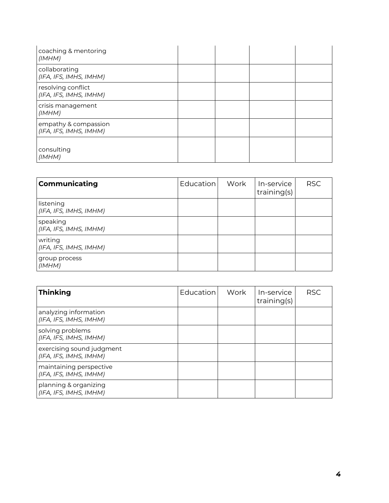| coaching & mentoring<br>(IMHM)                 |  |  |
|------------------------------------------------|--|--|
| collaborating<br>(IFA, IFS, IMHS, IMHM)        |  |  |
| resolving conflict<br>(IFA, IFS, IMHS, IMHM)   |  |  |
| crisis management<br>(IMHM)                    |  |  |
| empathy & compassion<br>(IFA, IFS, IMHS, IMHM) |  |  |
| consulting<br>(IMHM)                           |  |  |

| <b>Communicating</b>                | Education | Work | In-service<br>training(s) | <b>RSC</b> |
|-------------------------------------|-----------|------|---------------------------|------------|
| listening<br>(IFA, IFS, IMHS, IMHM) |           |      |                           |            |
| speaking<br>(IFA, IFS, IMHS, IMHM)  |           |      |                           |            |
| writing<br>(IFA, IFS, IMHS, IMHM)   |           |      |                           |            |
| group process<br>(IMHM)             |           |      |                           |            |

| <b>Thinking</b>                                     | Education | Work | In-service<br>training(s) | <b>RSC</b> |
|-----------------------------------------------------|-----------|------|---------------------------|------------|
| analyzing information<br>(IFA, IFS, IMHS, IMHM)     |           |      |                           |            |
| solving problems<br>(IFA, IFS, IMHS, IMHM)          |           |      |                           |            |
| exercising sound judgment<br>(IFA, IFS, IMHS, IMHM) |           |      |                           |            |
| maintaining perspective<br>(IFA, IFS, IMHS, IMHM)   |           |      |                           |            |
| planning & organizing<br>(IFA, IFS, IMHS, IMHM)     |           |      |                           |            |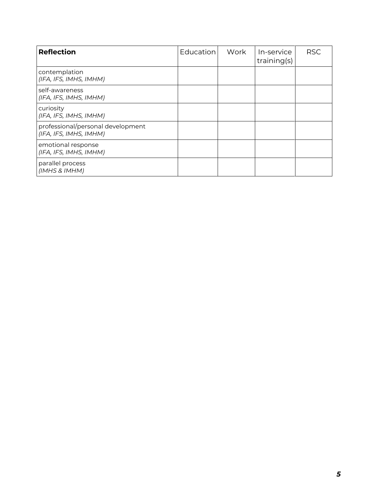| <b>Reflection</b>                                           | Education | Work | In-service<br>training(s) | <b>RSC</b> |
|-------------------------------------------------------------|-----------|------|---------------------------|------------|
| contemplation<br>(IFA, IFS, IMHS, IMHM)                     |           |      |                           |            |
| self-awareness<br>(IFA, IFS, IMHS, IMHM)                    |           |      |                           |            |
| curiosity<br>(IFA, IFS, IMHS, IMHM)                         |           |      |                           |            |
| professional/personal development<br>(IFA, IFS, IMHS, IMHM) |           |      |                           |            |
| emotional response<br>(IFA, IFS, IMHS, IMHM)                |           |      |                           |            |
| parallel process<br>(IMHS & IMHM)                           |           |      |                           |            |